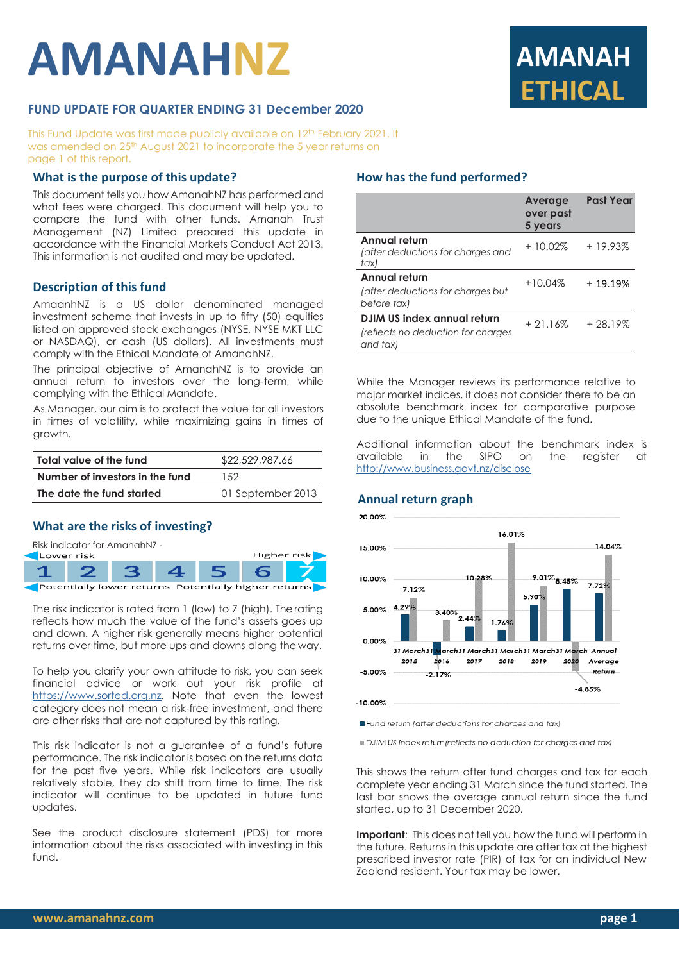# **AMANAHNZ**



# **FUND UPDATE FOR QUARTER ENDING 31 December 2020**

This Fund Update was first made publicly available on 12 th February 2021. It was amended on 25<sup>th</sup> August 2021 to incorporate the 5 year returns on page 1 of this report.

## **What is the purpose of this update?**

This document tells you how AmanahNZ has performed and what fees were charged. This document will help you to compare the fund with other funds. Amanah Trust Management (NZ) Limited prepared this update in accordance with the Financial Markets Conduct Act 2013. This information is not audited and may be updated.

#### **Description of this fund**

AmaanhNZ is a US dollar denominated managed investment scheme that invests in up to fifty (50) equities listed on approved stock exchanges (NYSE, NYSE MKT LLC or NASDAQ), or cash (US dollars). All investments must comply with the Ethical Mandate of AmanahNZ.

The principal objective of AmanahNZ is to provide an annual return to investors over the long-term, while complying with the Ethical Mandate.

As Manager, our aim is to protect the value for all investors in times of volatility, while maximizing gains in times of growth.

| Total value of the fund         | \$22,529,987.66   |  |
|---------------------------------|-------------------|--|
| Number of investors in the fund | 1.52              |  |
| The date the fund started       | 01 September 2013 |  |

## **What are the risks of investing?**



The risk indicator is rated from 1 (low) to 7 (high). Therating reflects how much the value of the fund's assets goes up and down. A higher risk generally means higher potential returns over time, but more ups and downs along the way.

To help you clarify your own attitude to risk, you can seek financial advice or work out your risk profile at [https://www.sorted.org.nz.](https://www.sorted.org.nz/guides/kiwisaver-which-fund-suits) Note that even the lowest category does not mean a risk-free investment, and there are other risks that are not captured by this rating.

This risk indicator is not a guarantee of a fund's future performance. The risk indicator is based on the returns data for the past five years. While risk indicators are usually relatively stable, they do shift from time to time. The risk indicator will continue to be updated in future fund updates.

See the product disclosure statement (PDS) for more information about the risks associated with investing in this fund.

## **How has the fund performed?**

|                                                                               | Average<br>over past<br>5 years | <b>Past Year</b> |
|-------------------------------------------------------------------------------|---------------------------------|------------------|
| Annual return<br>(after deductions for charges and<br>tax)                    | $+10.02\%$                      | $+19.93%$        |
| Annual return<br>(after deductions for charges but<br>before tax)             | $+10.04%$                       | $+19.19%$        |
| DJIM US index annual return<br>(reflects no deduction for charges<br>and tax) | $+21.16%$                       | $+28.19%$        |

While the Manager reviews its performance relative to major market indices, it does not consider there to be an absolute benchmark index for comparative purpose due to the unique Ethical Mandate of the fund.

Additional information about the benchmark index is<br>available in the SIPO on the register at in the SIPO on the register at <http://www.business.govt.nz/disclose>

#### **Annual return graph**



Fund return (after deductions for charges and tax)

DJIM US index return/reflects no deduction for charaes and tax)

This shows the return after fund charges and tax for each complete year ending 31 March since the fund started. The last bar shows the average annual return since the fund started, up to 31 December 2020.

**Important**: This does not tell you how the fund will perform in the future. Returns in this update are after tax at the highest prescribed investor rate (PIR) of tax for an individual New Zealand resident. Your tax may be lower.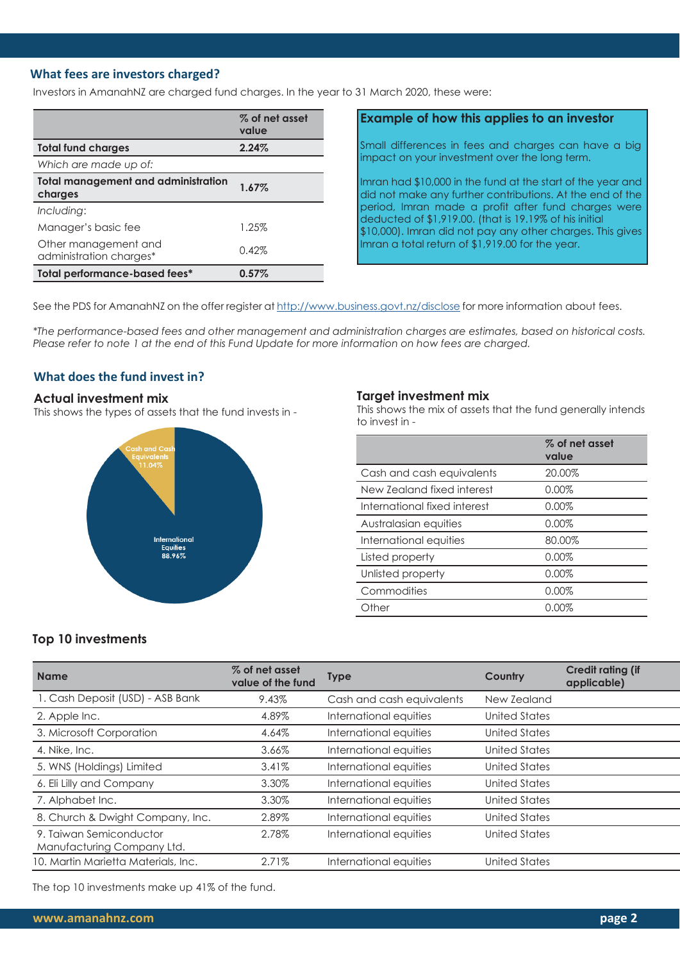# **What fees are investors charged?**

Investors in AmanahNZ are charged fund charges. In the year to 31 March 2020, these were:

|                                                       | % of net asset<br>value |
|-------------------------------------------------------|-------------------------|
| <b>Total fund charges</b>                             | 2.24%                   |
| Which are made up of:                                 |                         |
| <b>Total management and administration</b><br>charges | 1.67%                   |
| Including:                                            |                         |
| Manager's basic fee                                   | 1.25%                   |
| Other management and<br>administration charges*       | 0.42%                   |
| Total performance-based fees*                         | $0.57\%$                |

# **Example of how this applies to an investor**

Small differences in fees and charges can have a big impact on your investment over the long term.

Imran had \$10,000 in the fund at the start of the year and did not make any further contributions. At the end of the period, Imran made a profit after fund charges were deducted of \$1,919.00. (that is 19.19% of his initial \$10,000). Imran did not pay any other charges. This gives Imran a total return of \$1,919.00 for the year.

See the PDS for AmanahNZ on the offer register at <http://www.business.govt.nz/disclose> for more information about fees.

*\*The performance-based fees and other management and administration charges are estimates, based on historical costs. Please refer to note 1 at the end of this Fund Update for more information on how fees are charged.*

# **What does the fund invest in?**

#### **Actual investment mix**

This shows the types of assets that the fund invests in -



#### **Target investment mix**

This shows the mix of assets that the fund generally intends to invest in -

|                              | % of net asset<br>value |
|------------------------------|-------------------------|
| Cash and cash equivalents    | 20.00%                  |
| New Zealand fixed interest   | 0.00%                   |
| International fixed interest | $0.00\%$                |
| Australasian equities        | 0.00%                   |
| International equities       | 80.00%                  |
| Listed property              | 0.00%                   |
| Unlisted property            | 0.00%                   |
| Commodities                  | 0.00%                   |
| Other                        | 0.00%                   |

#### **Top 10 investments**

| <b>Name</b>                                           | % of net asset<br>value of the fund | <b>Type</b>               | Country       | <b>Credit rating (if</b><br>applicable) |
|-------------------------------------------------------|-------------------------------------|---------------------------|---------------|-----------------------------------------|
| 1. Cash Deposit (USD) - ASB Bank                      | 9.43%                               | Cash and cash equivalents | New Zealand   |                                         |
| 2. Apple Inc.                                         | 4.89%                               | International equities    | United States |                                         |
| 3. Microsoft Corporation                              | 4.64%                               | International equities    | United States |                                         |
| 4. Nike, Inc.                                         | 3.66%                               | International equities    | United States |                                         |
| 5. WNS (Holdings) Limited                             | 3.41%                               | International equities    | United States |                                         |
| 6. Eli Lilly and Company                              | 3.30%                               | International equities    | United States |                                         |
| 7. Alphabet Inc.                                      | 3.30%                               | International equities    | United States |                                         |
| 8. Church & Dwight Company, Inc.                      | 2.89%                               | International equities    | United States |                                         |
| 9. Taiwan Semiconductor<br>Manufacturing Company Ltd. | 2.78%                               | International equities    | United States |                                         |
| 10. Martin Marietta Materials, Inc.                   | 2.71%                               | International equities    | United States |                                         |

The top 10 investments make up 41% of the fund.